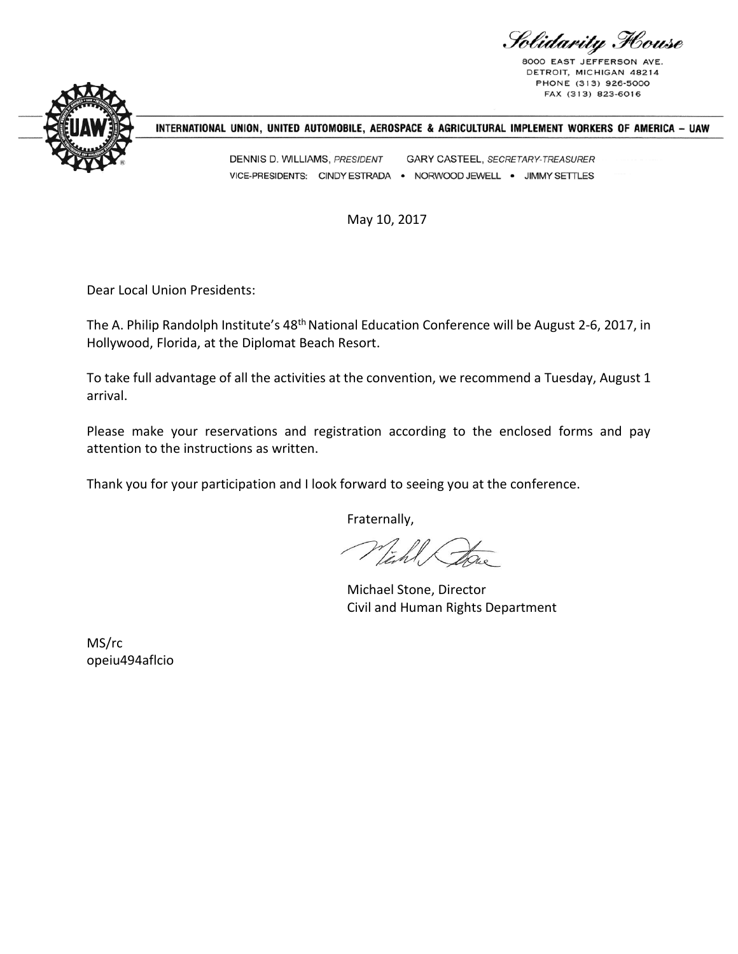Solidarity Flouse

8000 EAST JEFFERSON DETROIT, MICHIGAN 48214 PHONE (313) 926-5000 FAX (313) 823-6016



### INTERNATIONAL UNION, UNITED AUTOMOBILE, AEROSPACE & AGRICULTURAL IMPLEMENT WORKERS OF AMERICA - UAW

DENNIS D. WILLIAMS, PRESIDENT GARY CASTEEL, SECRETARY-TREASURER VICE-PRESIDENTS: CINDY ESTRADA . NORWOOD JEWELL . JIMMY SETTLES

May 10, 2017

Dear Local Union Presidents:

The A. Philip Randolph Institute's 48<sup>th</sup> National Education Conference will be August 2-6, 2017, in Hollywood, Florida, at the Diplomat Beach Resort.

To take full advantage of all the activities at the convention, we recommend a Tuesday, August 1 arrival.

Please make your reservations and registration according to the enclosed forms and pay attention to the instructions as written.

Thank you for your participation and I look forward to seeing you at the conference.

Fraternally,

Tahl Lots

Michael Stone, Director Civil and Human Rights Department

MS/rc opeiu494aflcio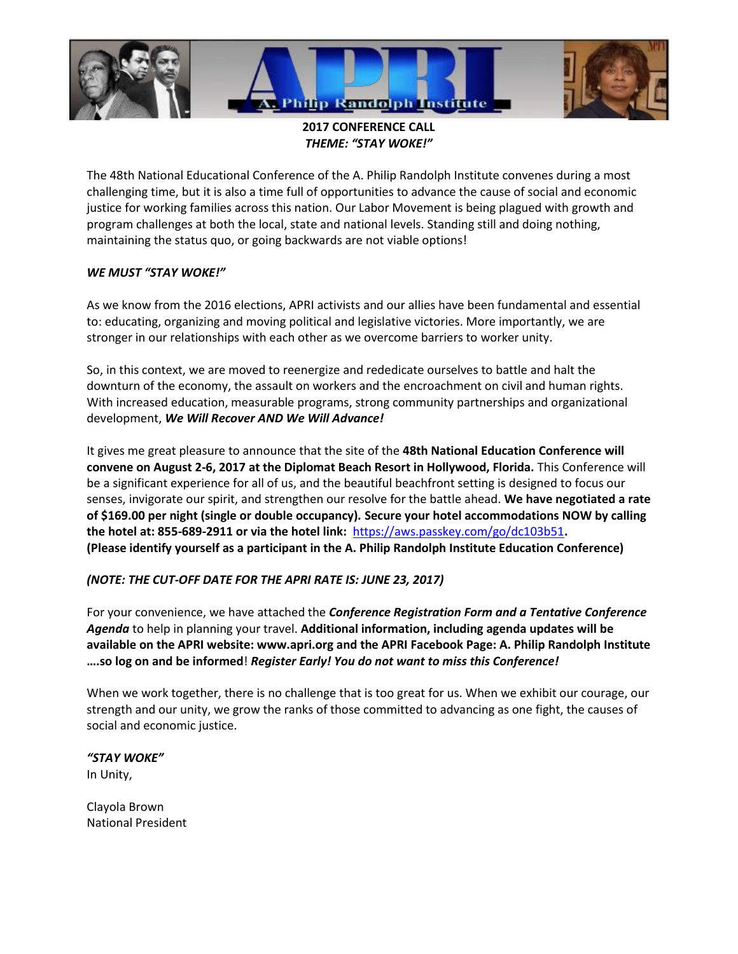

**2017 CONFERENCE CALL** *THEME: "STAY WOKE!"*

The 48th National Educational Conference of the A. Philip Randolph Institute convenes during a most challenging time, but it is also a time full of opportunities to advance the cause of social and economic justice for working families across this nation. Our Labor Movement is being plagued with growth and program challenges at both the local, state and national levels. Standing still and doing nothing, maintaining the status quo, or going backwards are not viable options!

### *WE MUST "STAY WOKE!"*

As we know from the 2016 elections, APRI activists and our allies have been fundamental and essential to: educating, organizing and moving political and legislative victories. More importantly, we are stronger in our relationships with each other as we overcome barriers to worker unity.

So, in this context, we are moved to reenergize and rededicate ourselves to battle and halt the downturn of the economy, the assault on workers and the encroachment on civil and human rights. With increased education, measurable programs, strong community partnerships and organizational development, *We Will Recover AND We Will Advance!* 

It gives me great pleasure to announce that the site of the **48th National Education Conference will convene on August 2-6, 2017 at the Diplomat Beach Resort in Hollywood, Florida.** This Conference will be a significant experience for all of us, and the beautiful beachfront setting is designed to focus our senses, invigorate our spirit, and strengthen our resolve for the battle ahead. **We have negotiated a rate of \$169.00 per night (single or double occupancy)***.* **Secure your hotel accommodations NOW by calling the hotel at: 855-689-2911 or via the hotel link:** <https://aws.passkey.com/go/dc103b51>**. (Please identify yourself as a participant in the A. Philip Randolph Institute Education Conference)** 

### *(NOTE: THE CUT-OFF DATE FOR THE APRI RATE IS: JUNE 23, 2017)*

For your convenience, we have attached the *Conference Registration Form and a Tentative Conference Agenda* to help in planning your travel. **Additional information, including agenda updates will be available on the APRI website: www.apri.org and the APRI Facebook Page: A. Philip Randolph Institute ….so log on and be informed**! *Register Early! You do not want to miss this Conference!* 

When we work together, there is no challenge that is too great for us. When we exhibit our courage, our strength and our unity, we grow the ranks of those committed to advancing as one fight, the causes of social and economic justice.

### *"STAY WOKE"*

In Unity,

Clayola Brown National President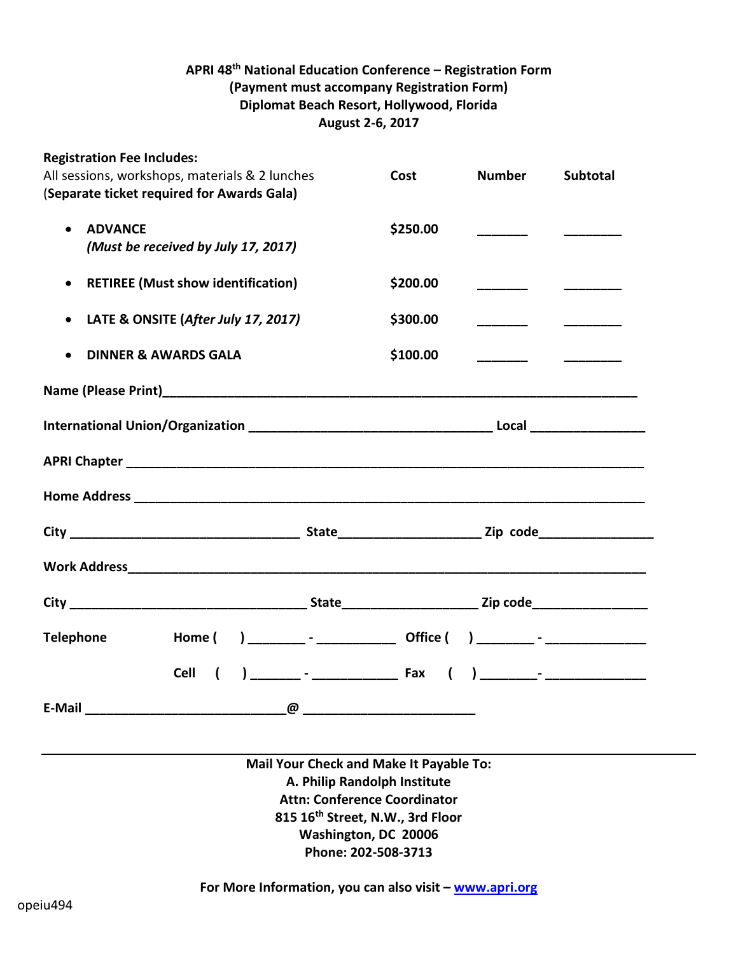# **APRI 48 th National Education Conference – Registration Form (Payment must accompany Registration Form) Diplomat Beach Resort, Hollywood, Florida August 2-6, 2017**

| <b>Registration Fee Includes:</b>                      |                                            |  |          |                          |                 |  |
|--------------------------------------------------------|--------------------------------------------|--|----------|--------------------------|-----------------|--|
| All sessions, workshops, materials & 2 lunches         |                                            |  | Cost     | <b>Number</b>            | <b>Subtotal</b> |  |
|                                                        | (Separate ticket required for Awards Gala) |  |          |                          |                 |  |
| <b>ADVANCE</b>                                         |                                            |  | \$250.00 |                          |                 |  |
|                                                        | (Must be received by July 17, 2017)        |  |          |                          |                 |  |
|                                                        |                                            |  |          |                          |                 |  |
| <b>RETIREE (Must show identification)</b><br>$\bullet$ |                                            |  | \$200.00 |                          |                 |  |
|                                                        |                                            |  |          |                          |                 |  |
| LATE & ONSITE (After July 17, 2017)<br>$\bullet$       |                                            |  | \$300.00 |                          |                 |  |
|                                                        |                                            |  |          |                          |                 |  |
|                                                        | <b>DINNER &amp; AWARDS GALA</b>            |  | \$100.00 | $\overline{\phantom{a}}$ |                 |  |
|                                                        |                                            |  |          |                          |                 |  |
|                                                        |                                            |  |          |                          |                 |  |
|                                                        |                                            |  |          |                          |                 |  |
|                                                        |                                            |  |          |                          |                 |  |
|                                                        |                                            |  |          |                          |                 |  |
|                                                        |                                            |  |          |                          |                 |  |
|                                                        |                                            |  |          |                          |                 |  |
|                                                        |                                            |  |          |                          |                 |  |
|                                                        |                                            |  |          |                          |                 |  |
|                                                        |                                            |  |          |                          |                 |  |
|                                                        |                                            |  |          |                          |                 |  |
|                                                        |                                            |  |          |                          |                 |  |
|                                                        |                                            |  |          |                          |                 |  |
| <b>Telephone</b>                                       | Home (                                     |  |          |                          |                 |  |
|                                                        | <b>Cell</b>                                |  |          |                          |                 |  |
|                                                        |                                            |  |          |                          |                 |  |
|                                                        |                                            |  |          |                          |                 |  |
|                                                        |                                            |  |          |                          |                 |  |

**Mail Your Check and Make It Payable To: A. Philip Randolph Institute Attn: Conference Coordinator 815 16th Street, N.W., 3rd Floor Washington, DC 20006 Phone: 202-508-3713** 

**For More Information, you can also visit – [www.apri.org](http://www.apri.org/)**